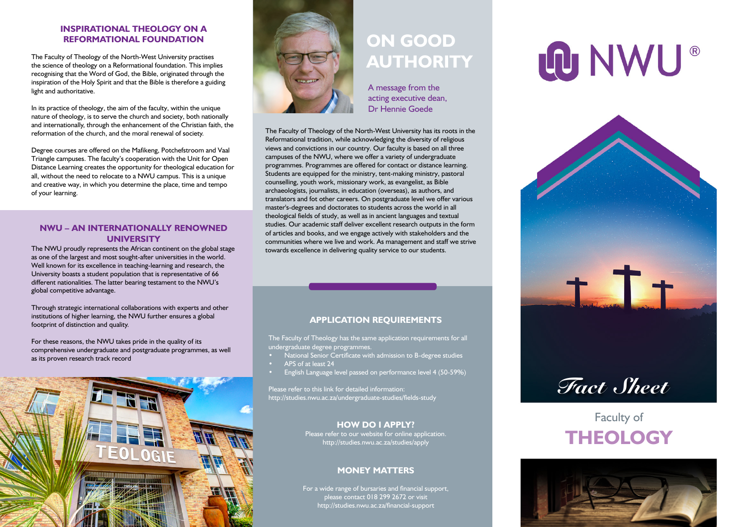#### **INSPIRATIONAL THEOLOGY ON A REFORMATIONAL FOUNDATION**

The Faculty of Theology of the North-West University practises the science of theology on a Reformational foundation. This implies recognising that the Word of God, the Bible, originated through the inspiration of the Holy Spirit and that the Bible is therefore a guiding light and authoritative.

In its practice of theology, the aim of the faculty, within the unique nature of theology, is to serve the church and society, both nationally and internationally, through the enhancement of the Christian faith, the reformation of the church, and the moral renewal of society.

Degree courses are offered on the Mafikeng, Potchefstroom and Vaal Triangle campuses. The faculty's cooperation with the Unit for Open Distance Learning creates the opportunity for theological education for all, without the need to relocate to a NWU campus. This is a unique and creative way, in which you determine the place, time and tempo of your learning.

#### **NWU – AN INTERNATIONALLY RENOWNED UNIVERSITY**

The NWU proudly represents the African continent on the global stage as one of the largest and most sought-after universities in the world. Well known for its excellence in teaching-learning and research, the University boasts a student population that is representative of 66 different nationalities. The latter bearing testament to the NWU's global competitive advantage.

Through strategic international collaborations with experts and other institutions of higher learning, the NWU further ensures a global footprint of distinction and quality.

For these reasons, the NWU takes pride in the quality of its comprehensive undergraduate and postgraduate programmes, as well as its proven research track record





## **ON GOOD AUTHORITY**

A message from the acting executive dean, Dr Hennie Goede

The Faculty of Theology of the North-West University has its roots in the Reformational tradition, while acknowledging the diversity of religious views and convictions in our country. Our faculty is based on all three campuses of the NWU, where we offer a variety of undergraduate programmes. Programmes are offered for contact or distance learning. Students are equipped for the ministry, tent-making ministry, pastoral counselling, youth work, missionary work, as evangelist, as Bible archaeologists, journalists, in education (overseas), as authors, and translators and fot other careers. On postgraduate level we offer various master's-degrees and doctorates to students across the world in all theological fields of study, as well as in ancient languages and textual studies. Our academic staff deliver excellent research outputs in the form of articles and books, and we engage actively with stakeholders and the communities where we live and work. As management and staff we strive towards excellence in delivering quality service to our students.

#### **APPLICATION REQUIREMENTS**

The Faculty of Theology has the same application requirements for all undergraduate degree programmes.

- National Senior Certificate with admission to B-degree studies
- APS of at least 24
- English Language level passed on performance level 4 (50-59%)

Please refer to this link for detailed information: http://studies.nwu.ac.za/undergraduate-studies/fields-study

#### **HOW DO I APPLY?**

Please refer to our website for online application. http://studies.nwu.ac.za/studies/apply

#### **MONEY MATTERS**

For a wide range of bursaries and financial support, please contact 018 299 2672 or visit http://studies.nwu.ac.za/financial-support

# LO NWU®